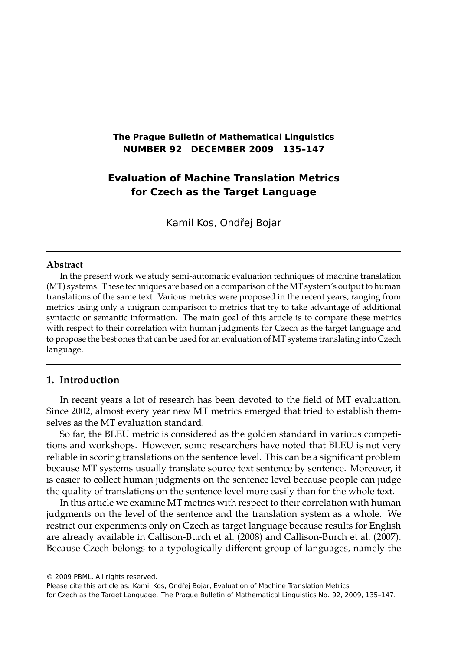## **The Prague Bulletin of Mathematical Linguistics NUMBER 92 DECEMBER 2009 135–147**

# **Evaluation of Machine Translation Metrics for Czech as the Target Language**

Kamil Kos, Ondřej Bojar

#### **Abstract**

In the present work we study semi-automatic evaluation techniques of machine translation (MT) systems. These techniques are based on a comparison of the MT system's output to human translations of the same text. Various metrics were proposed in the recent years, ranging from metrics using only a unigram comparison to metrics that try to take advantage of additional syntactic or semantic information. The main goal of this article is to compare these metrics with respect to their correlation with human judgments for Czech as the target language and to propose the best ones that can be used for an evaluation of MT systems translating into Czech language.

## **1. Introduction**

In recent years a lot of research has been devoted to the field of MT evaluation. Since 2002, almost every year new MT metrics emerged that tried to establish themselves as the MT evaluation standard.

So far, the BLEU metric is considered as the golden standard in various competitions and workshops. However, some researchers have noted that BLEU is not very reliable in scoring translations on the sentence level. This can be a significant problem because MT systems usually translate source text sentence by sentence. Moreover, it is easier to collect human judgments on the sentence level because people can judge the quality of translations on the sentence level more easily than for the whole text.

In this article we examine MT metrics with respect to their correlation with human judgments on the level of the sentence and the translation system as a whole. We restrict our experiments only on Czech as target language because results for English are already available in Callison-Burch et al. (2008) and Callison-Burch et al. (2007). Because Czech belongs to a typologically different group of languages, namely the

<sup>© 2009</sup> PBML. All rights reserved.

Please cite this article as: Kamil Kos, Ondřej Bojar, Evaluation of Machine Translation Metrics for Czech as the Target Language. The Prague Bulletin of Mathematical Linguistics No. 92, 2009, 135–147.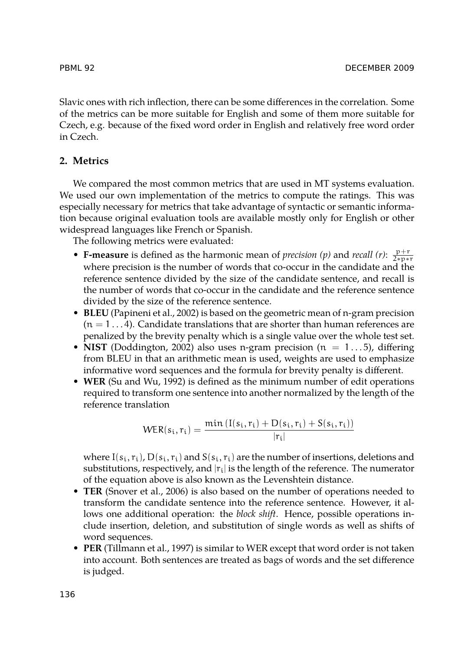Slavic ones with rich inflection, there can be some differences in the correlation. Some of the metrics can be more suitable for English and some of them more suitable for Czech, e.g. because of the fixed word order in English and relatively free word order in Czech.

## **2. Metrics**

We compared the most common metrics that are used in MT systems evaluation. We used our own implementation of the metrics to compute the ratings. This was especially necessary for metrics that take advantage of syntactic or semantic information because original evaluation tools are available mostly only for English or other widespread languages like French or Spanish.

The following metrics were evaluated:

- **F-measure** is defined as the harmonic mean of *precision* (*p*) and *recall* (*r*):  $\frac{p+r}{2*p*r}$ where precision is the number of words that co-occur in the candidate and the reference sentence divided by the size of the candidate sentence, and recall is the number of words that co-occur in the candidate and the reference sentence divided by the size of the reference sentence.
- **BLEU** (Papineni et al., 2002) is based on the geometric mean of n-gram precision  $(n = 1...4)$ . Candidate translations that are shorter than human references are penalized by the brevity penalty which is a single value over the whole test set.
- **NIST** (Doddington, 2002) also uses n-gram precision ( $n = 1...5$ ), differing from BLEU in that an arithmetic mean is used, weights are used to emphasize informative word sequences and the formula for brevity penalty is different.
- **WER** (Su and Wu, 1992) is defined as the minimum number of edit operations required to transform one sentence into another normalized by the length of the reference translation

$$
WER(s_i, r_i) = \frac{\min\left(I(s_i, r_i) + D(s_i, r_i) + S(s_i, r_i)\right)}{|r_i|}
$$

where  $I(s_i, r_i)$ ,  $D(s_i, r_i)$  and  $S(s_i, r_i)$  are the number of insertions, deletions and substitutions, respectively, and  $|r_i|$  is the length of the reference. The numerator of the equation above is also known as the Levenshtein distance.

- **TER** (Snover et al., 2006) is also based on the number of operations needed to transform the candidate sentence into the reference sentence. However, it allows one additional operation: the *block shift*. Hence, possible operations include insertion, deletion, and substitution of single words as well as shifts of word sequences.
- **PER** (Tillmann et al., 1997) is similar to WER except that word order is not taken into account. Both sentences are treated as bags of words and the set difference is judged.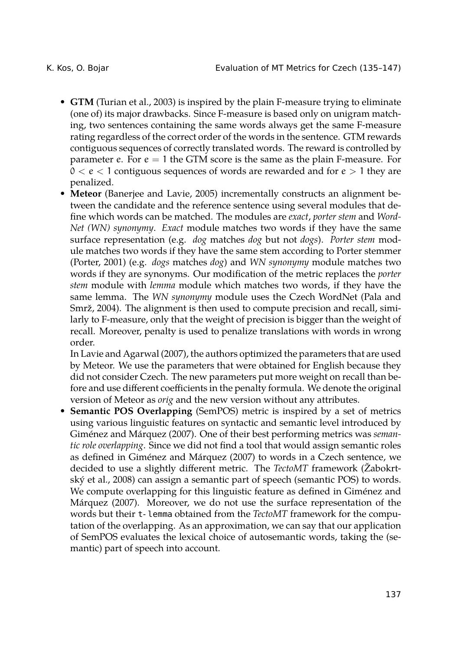- **GTM** (Turian et al., 2003) is inspired by the plain F-measure trying to eliminate (one of) its major drawbacks. Since F-measure is based only on unigram matching, two sentences containing the same words always get the same F-measure rating regardless of the correct order of the words in the sentence. GTM rewards contiguous sequences of correctly translated words. The reward is controlled by parameter e. For  $e = 1$  the GTM score is the same as the plain F-measure. For  $0 < e < 1$  contiguous sequences of words are rewarded and for  $e > 1$  they are penalized.
- **Meteor** (Banerjee and Lavie, 2005) incrementally constructs an alignment between the candidate and the reference sentence using several modules that define which words can be matched. The modules are *exact*, *porter stem* and *Word-Net (WN) synonymy*. *Exact* module matches two words if they have the same surface representation (e.g. *dog* matches *dog* but not *dogs*). *Porter stem* module matches two words if they have the same stem according to Porter stemmer (Porter, 2001) (e.g. *dogs* matches *dog*) and *WN synonymy* module matches two words if they are synonyms. Our modification of the metric replaces the *porter stem* module with *lemma* module which matches two words, if they have the same lemma. The *WN synonymy* module uses the Czech WordNet (Pala and Smrž, 2004). The alignment is then used to compute precision and recall, similarly to F-measure, only that the weight of precision is bigger than the weight of recall. Moreover, penalty is used to penalize translations with words in wrong order.

In Lavie and Agarwal (2007), the authors optimized the parameters that are used by Meteor. We use the parameters that were obtained for English because they did not consider Czech. The new parameters put more weight on recall than before and use different coefficients in the penalty formula. We denote the original version of Meteor as *orig* and the new version without any attributes.

• **Semantic POS Overlapping** (SemPOS) metric is inspired by a set of metrics using various linguistic features on syntactic and semantic level introduced by Giménez and Márquez (2007). One of their best performing metrics was *semantic role overlapping*. Since we did not find a tool that would assign semantic roles as defined in Giménez and Márquez (2007) to words in a Czech sentence, we decided to use a slightly different metric. The *TectoMT* framework (Žabokrtský et al., 2008) can assign a semantic part of speech (semantic POS) to words. We compute overlapping for this linguistic feature as defined in Giménez and Márquez (2007). Moreover, we do not use the surface representation of the words but their t-lemma obtained from the *TectoMT* framework for the computation of the overlapping. As an approximation, we can say that our application of SemPOS evaluates the lexical choice of autosemantic words, taking the (semantic) part of speech into account.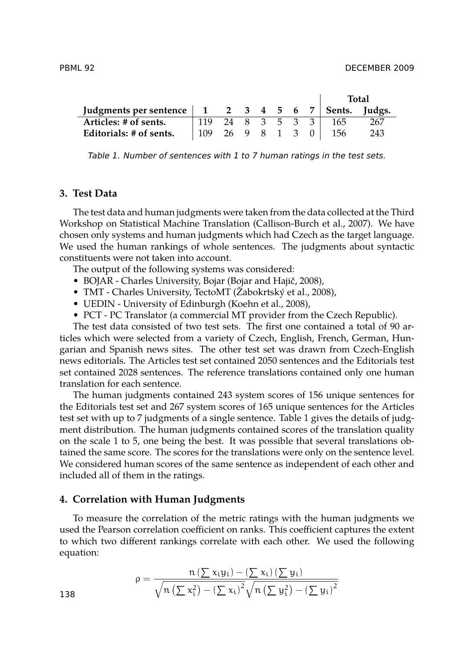|                                                                                                |                    |              |  |  | Total |     |  |
|------------------------------------------------------------------------------------------------|--------------------|--------------|--|--|-------|-----|--|
| Judgments per sentence $\begin{vmatrix} 1 & 2 & 3 & 4 & 5 & 6 & 7 \end{vmatrix}$ Sents. Judgs. |                    |              |  |  |       |     |  |
| Articles: # of sents.                                                                          | 119 24 8 3 5 3 3 1 |              |  |  | 165   | 267 |  |
| Editorials: # of sents.                                                                        | 109                | 26 9 8 1 3 0 |  |  | 156   | 243 |  |

*Table 1. Number of sentences with 1 to 7 human ratings in the test sets.*

#### **3. Test Data**

138

The test data and human judgments were taken from the data collected at the Third Workshop on Statistical Machine Translation (Callison-Burch et al., 2007). We have chosen only systems and human judgments which had Czech as the target language. We used the human rankings of whole sentences. The judgments about syntactic constituents were not taken into account.

The output of the following systems was considered:

- BOJAR Charles University, Bojar (Bojar and Hajič, 2008),
- TMT Charles University, TectoMT (Žabokrtský et al., 2008),
- UEDIN University of Edinburgh (Koehn et al., 2008),
- PCT PC Translator (a commercial MT provider from the Czech Republic).

The test data consisted of two test sets. The first one contained a total of 90 articles which were selected from a variety of Czech, English, French, German, Hungarian and Spanish news sites. The other test set was drawn from Czech-English news editorials. The Articles test set contained 2050 sentences and the Editorials test set contained 2028 sentences. The reference translations contained only one human translation for each sentence.

The human judgments contained 243 system scores of 156 unique sentences for the Editorials test set and 267 system scores of 165 unique sentences for the Articles test set with up to 7 judgments of a single sentence. Table 1 gives the details of judgment distribution. The human judgments contained scores of the translation quality on the scale 1 to 5, one being the best. It was possible that several translations obtained the same score. The scores for the translations were only on the sentence level. We considered human scores of the same sentence as independent of each other and included all of them in the ratings.

### **4. Correlation with Human Judgments**

To measure the correlation of the metric ratings with the human judgments we used the Pearson correlation coefficient on ranks. This coefficient captures the extent to which two different rankings correlate with each other. We used the following equation:

$$
\rho=\frac{n\left(\sum x_iy_i\right)-\left(\sum x_i\right)\left(\sum y_i\right)}{\sqrt{n\left(\sum x_i^2\right)-\left(\sum x_i\right)^2}\sqrt{n\left(\sum y_i^2\right)-\left(\sum y_i\right)^2}}
$$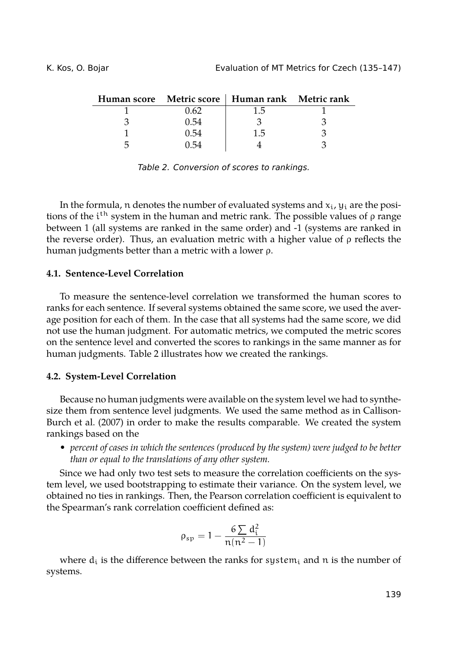|      | Human score Metric score   Human rank Metric rank |  |
|------|---------------------------------------------------|--|
|      | 1.5                                               |  |
| 1.54 |                                                   |  |
| 54 ا | 1.5                                               |  |
|      |                                                   |  |

*Table 2. Conversion of scores to rankings.*

In the formula, n denotes the number of evaluated systems and  $x_i$ ,  $y_i$  are the positions of the i<sup>th</sup> system in the human and metric rank. The possible values of ρ range between 1 (all systems are ranked in the same order) and -1 (systems are ranked in the reverse order). Thus, an evaluation metric with a higher value of  $\rho$  reflects the human judgments better than a metric with a lower ρ.

### **4.1. Sentence-Level Correlation**

To measure the sentence-level correlation we transformed the human scores to ranks for each sentence. If several systems obtained the same score, we used the average position for each of them. In the case that all systems had the same score, we did not use the human judgment. For automatic metrics, we computed the metric scores on the sentence level and converted the scores to rankings in the same manner as for human judgments. Table 2 illustrates how we created the rankings.

### **4.2. System-Level Correlation**

Because no human judgments were available on the system level we had to synthesize them from sentence level judgments. We used the same method as in Callison-Burch et al. (2007) in order to make the results comparable. We created the system rankings based on the

• *percent of cases in which the sentences (produced by the system) were judged to be better than or equal to the translations of any other system.*

Since we had only two test sets to measure the correlation coefficients on the system level, we used bootstrapping to estimate their variance. On the system level, we obtained no ties in rankings. Then, the Pearson correlation coefficient is equivalent to the Spearman's rank correlation coefficient defined as:

$$
\rho_{sp}=1-\frac{6\sum d_i^2}{n(n^2-1)}
$$

where  $d_i$  is the difference between the ranks for system<sub>i</sub> and n is the number of systems.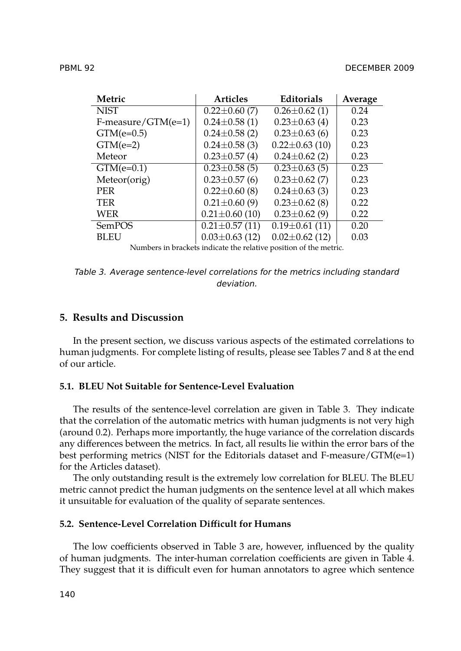| Metric               | <b>Articles</b>      | <b>Editorials</b>                                                 | Average |
|----------------------|----------------------|-------------------------------------------------------------------|---------|
| <b>NIST</b>          | $0.22 \pm 0.60$ (7)  | $0.26 \pm 0.62$ (1)                                               | 0.24    |
| $F-measure/GTM(e=1)$ | $0.24 \pm 0.58(1)$   | $0.23 \pm 0.63$ (4)                                               | 0.23    |
| $GTM(e=0.5)$         | $0.24 \pm 0.58$ (2)  | $0.23 \pm 0.63$ (6)                                               | 0.23    |
| $GTM(e=2)$           | $0.24 \pm 0.58$ (3)  | $0.22 \pm 0.63$ (10)                                              | 0.23    |
| Meteor               | $0.23 \pm 0.57$ (4)  | $0.24 \pm 0.62$ (2)                                               | 0.23    |
| $GTM(e=0.1)$         | $0.23 \pm 0.58$ (5)  | $0.23 \pm 0.63$ (5)                                               | 0.23    |
| Meteor(orig)         | $0.23 \pm 0.57$ (6)  | $0.23 \pm 0.62$ (7)                                               | 0.23    |
| <b>PER</b>           | $0.22 \pm 0.60$ (8)  | $0.24 \pm 0.63$ (3)                                               | 0.23    |
| <b>TER</b>           | $0.21 \pm 0.60$ (9)  | $0.23 \pm 0.62$ (8)                                               | 0.22    |
| WER                  | $0.21 \pm 0.60$ (10) | $0.23 \pm 0.62$ (9)                                               | 0.22    |
| <b>SemPOS</b>        | $0.21 \pm 0.57$ (11) | $0.19 \pm 0.61$ (11)                                              | 0.20    |
| BLEU                 | $0.03 \pm 0.63$ (12) | $0.02 \pm 0.62$ (12)                                              | 0.03    |
|                      |                      | Numbers in brackets indicate the relative position of the metric. |         |

*Table 3. Average sentence-level correlations for the metrics including standard deviation.*

## **5. Results and Discussion**

In the present section, we discuss various aspects of the estimated correlations to human judgments. For complete listing of results, please see Tables 7 and 8 at the end of our article.

### **5.1. BLEU Not Suitable for Sentence-Level Evaluation**

The results of the sentence-level correlation are given in Table 3. They indicate that the correlation of the automatic metrics with human judgments is not very high (around 0.2). Perhaps more importantly, the huge variance of the correlation discards any differences between the metrics. In fact, all results lie within the error bars of the best performing metrics (NIST for the Editorials dataset and F-measure/GTM(e=1) for the Articles dataset).

The only outstanding result is the extremely low correlation for BLEU. The BLEU metric cannot predict the human judgments on the sentence level at all which makes it unsuitable for evaluation of the quality of separate sentences.

## **5.2. Sentence-Level Correlation Difficult for Humans**

The low coefficients observed in Table 3 are, however, influenced by the quality of human judgments. The inter-human correlation coefficients are given in Table 4. They suggest that it is difficult even for human annotators to agree which sentence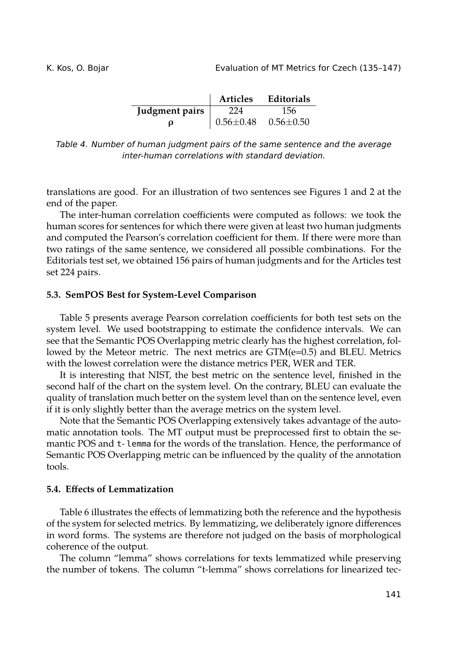|                | <b>Articles</b>                                 | Editorials |
|----------------|-------------------------------------------------|------------|
| Judgment pairs | 224                                             | 156        |
| O              | $\vert 0.56 \pm 0.48 \quad 0.56 \pm 0.50 \vert$ |            |

*Table 4. Number of human judgment pairs of the same sentence and the average inter-human correlations with standard deviation.*

translations are good. For an illustration of two sentences see Figures 1 and 2 at the end of the paper.

The inter-human correlation coefficients were computed as follows: we took the human scores for sentences for which there were given at least two human judgments and computed the Pearson's correlation coefficient for them. If there were more than two ratings of the same sentence, we considered all possible combinations. For the Editorials test set, we obtained 156 pairs of human judgments and for the Articles test set 224 pairs.

#### **5.3. SemPOS Best for System-Level Comparison**

Table 5 presents average Pearson correlation coefficients for both test sets on the system level. We used bootstrapping to estimate the confidence intervals. We can see that the Semantic POS Overlapping metric clearly has the highest correlation, followed by the Meteor metric. The next metrics are  $GTM(e=0.5)$  and BLEU. Metrics with the lowest correlation were the distance metrics PER, WER and TER.

It is interesting that NIST, the best metric on the sentence level, finished in the second half of the chart on the system level. On the contrary, BLEU can evaluate the quality of translation much better on the system level than on the sentence level, even if it is only slightly better than the average metrics on the system level.

Note that the Semantic POS Overlapping extensively takes advantage of the automatic annotation tools. The MT output must be preprocessed first to obtain the semantic POS and t-lemma for the words of the translation. Hence, the performance of Semantic POS Overlapping metric can be influenced by the quality of the annotation tools.

#### **5.4. Effects of Lemmatization**

Table 6 illustrates the effects of lemmatizing both the reference and the hypothesis of the system for selected metrics. By lemmatizing, we deliberately ignore differences in word forms. The systems are therefore not judged on the basis of morphological coherence of the output.

The column "lemma" shows correlations for texts lemmatized while preserving the number of tokens. The column "t-lemma" shows correlations for linearized tec-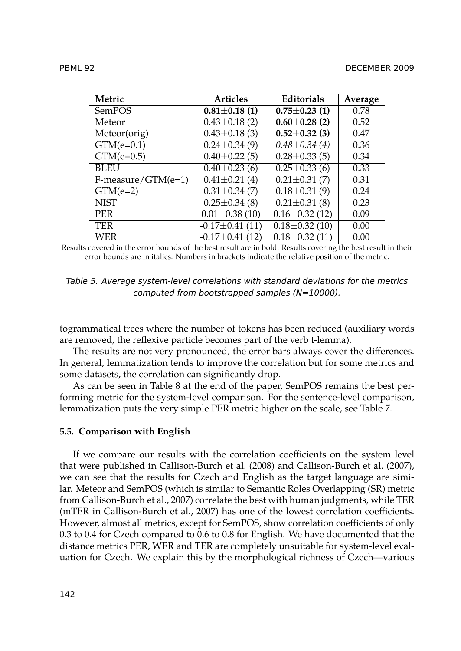| Metric               | <b>Articles</b>       | <b>Editorials</b>    | Average |
|----------------------|-----------------------|----------------------|---------|
| SemPOS               | $0.81 \pm 0.18$ (1)   | $0.75 \pm 0.23$ (1)  | 0.78    |
| Meteor               | $0.43 \pm 0.18$ (2)   | $0.60 \pm 0.28$ (2)  | 0.52    |
| Meteor(orig)         | $0.43 \pm 0.18$ (3)   | $0.52 \pm 0.32$ (3)  | 0.47    |
| $GTM(e=0.1)$         | $0.24 \pm 0.34$ (9)   | $0.48 \pm 0.34(4)$   | 0.36    |
| $GTM(e=0.5)$         | $0.40 \pm 0.22$ (5)   | $0.28 \pm 0.33$ (5)  | 0.34    |
| <b>BLEU</b>          | $0.40 \pm 0.23$ (6)   | $0.25 \pm 0.33$ (6)  | 0.33    |
| $F-measure/GTM(e=1)$ | $0.41 \pm 0.21$ (4)   | $0.21 \pm 0.31$ (7)  | 0.31    |
| $GTM(e=2)$           | $0.31 \pm 0.34$ (7)   | $0.18 \pm 0.31(9)$   | 0.24    |
| <b>NIST</b>          | $0.25 \pm 0.34$ (8)   | $0.21 \pm 0.31$ (8)  | 0.23    |
| <b>PER</b>           | $0.01 \pm 0.38$ (10)  | $0.16 \pm 0.32$ (12) | 0.09    |
| <b>TER</b>           | $-0.17 \pm 0.41$ (11) | $0.18 \pm 0.32$ (10) | 0.00    |
| WER                  | $-0.17 \pm 0.41$ (12) | $0.18 \pm 0.32$ (11) | 0.00    |

WER -0.17*±*0.41 (12) 0.18*±*0.32 (11) 0.00 Results covered in the error bounds of the best result are in bold. Results covering the best result in their error bounds are in italics. Numbers in brackets indicate the relative position of the metric.

| Table 5. Average system-level correlations with standard deviations for the metrics |                                                   |  |  |
|-------------------------------------------------------------------------------------|---------------------------------------------------|--|--|
|                                                                                     | computed from bootstrapped samples ( $N=10000$ ). |  |  |

togrammatical trees where the number of tokens has been reduced (auxiliary words are removed, the reflexive particle becomes part of the verb t-lemma).

The results are not very pronounced, the error bars always cover the differences. In general, lemmatization tends to improve the correlation but for some metrics and some datasets, the correlation can significantly drop.

As can be seen in Table 8 at the end of the paper, SemPOS remains the best performing metric for the system-level comparison. For the sentence-level comparison, lemmatization puts the very simple PER metric higher on the scale, see Table 7.

#### **5.5. Comparison with English**

If we compare our results with the correlation coefficients on the system level that were published in Callison-Burch et al. (2008) and Callison-Burch et al. (2007), we can see that the results for Czech and English as the target language are similar. Meteor and SemPOS (which is similar to Semantic Roles Overlapping (SR) metric from Callison-Burch et al., 2007) correlate the best with human judgments, while TER (mTER in Callison-Burch et al., 2007) has one of the lowest correlation coefficients. However, almost all metrics, except for SemPOS, show correlation coefficients of only 0.3 to 0.4 for Czech compared to 0.6 to 0.8 for English. We have documented that the distance metrics PER, WER and TER are completely unsuitable for system-level evaluation for Czech. We explain this by the morphological richness of Czech—various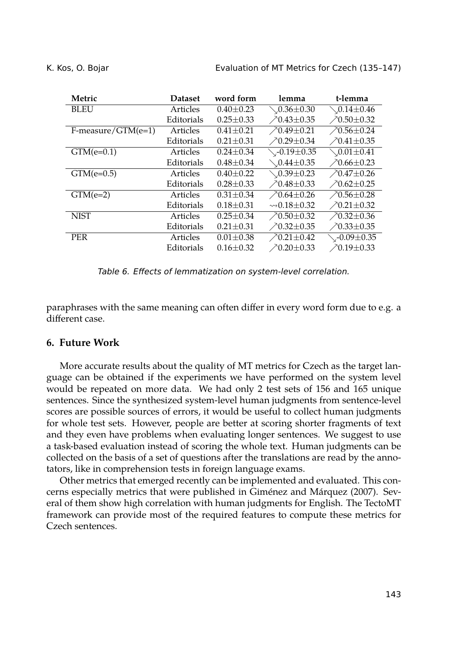| Metric             | <b>Dataset</b> | word form       | lemma                              | t-lemma                      |
|--------------------|----------------|-----------------|------------------------------------|------------------------------|
| <b>BLEU</b>        | Articles       | $0.40 + 0.23$   | $\diagdown 0.36 \pm 0.30$          | $\diagdown 0.14 \pm 0.46$    |
|                    | Editorials     | $0.25 \pm 0.33$ | $70.43 \pm 0.35$                   | $\nearrow 0.50 \pm 0.32$     |
| F-measure/GTM(e=1) | Articles       | $0.41 \pm 0.21$ | $70.49 \pm 0.21$                   | $70.56 \pm 0.24$             |
|                    | Editorials     | $0.21 \pm 0.31$ | $70.29 \pm 0.34$                   | $70.41 \pm 0.35$             |
| $GTM(e=0.1)$       | Articles       | $0.24 \pm 0.34$ | $\diagdown$ -0.19 $\pm$ 0.35       | $\setminus 0.01\pm 0.41$     |
|                    | Editorials     | $0.48 \pm 0.34$ | $\setminus 0.44\pm 0.35$           | $70.66 \pm 0.23$             |
| $GTM(e=0.5)$       | Articles       | $0.40 \pm 0.22$ | $\setminus 0.39 \pm 0.23$          | $70.47 \pm 0.26$             |
|                    | Editorials     | $0.28 \pm 0.33$ | $70.48 \pm 0.33$                   | $70.62 \pm 0.25$             |
| $GTM(e=2)$         | Articles       | $0.31 \pm 0.34$ | $70.64 \pm 0.26$                   | $70.56 \pm 0.28$             |
|                    | Editorials     | $0.18 \pm 0.31$ | $\rightsquigarrow$ 0.18 $\pm$ 0.32 | $70.21 \pm 0.32$             |
| <b>NIST</b>        | Articles       | $0.25 + 0.34$   | $70.50 \pm 0.32$                   | $70.32 \pm 0.36$             |
|                    | Editorials     | $0.21 \pm 0.31$ | $70.32 \pm 0.35$                   | $\n  \angle 0.33 \pm 0.35$   |
| <b>PER</b>         | Articles       | $0.01 \pm 0.38$ | $70.21 \pm 0.42$                   | $\sim$ -0.09 $\pm$ 0.35      |
|                    | Editorials     | $0.16 \pm 0.32$ | $70.20 \pm 0.33$                   | $\n  \angle 0.19 \pm 0.33\n$ |

*Table 6. Effects of lemmatization on system-level correlation.*

paraphrases with the same meaning can often differ in every word form due to e.g. a different case.

## **6. Future Work**

More accurate results about the quality of MT metrics for Czech as the target language can be obtained if the experiments we have performed on the system level would be repeated on more data. We had only 2 test sets of 156 and 165 unique sentences. Since the synthesized system-level human judgments from sentence-level scores are possible sources of errors, it would be useful to collect human judgments for whole test sets. However, people are better at scoring shorter fragments of text and they even have problems when evaluating longer sentences. We suggest to use a task-based evaluation instead of scoring the whole text. Human judgments can be collected on the basis of a set of questions after the translations are read by the annotators, like in comprehension tests in foreign language exams.

Other metrics that emerged recently can be implemented and evaluated. This concerns especially metrics that were published in Giménez and Márquez (2007). Several of them show high correlation with human judgments for English. The TectoMT framework can provide most of the required features to compute these metrics for Czech sentences.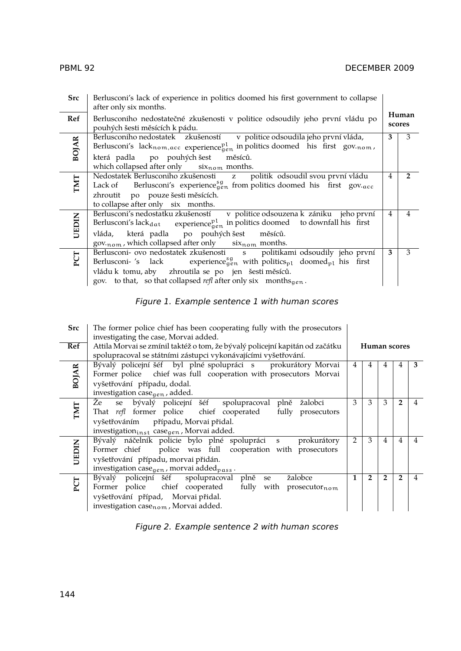| <b>Src</b>   | Berlusconi's lack of experience in politics doomed his first government to collapse<br>after only six months.                                                                                                                                                                                                                         |   |                 |
|--------------|---------------------------------------------------------------------------------------------------------------------------------------------------------------------------------------------------------------------------------------------------------------------------------------------------------------------------------------|---|-----------------|
| Ref          | Berlusconiho nedostatečné zkušenosti v politice odsoudily jeho první vládu po<br>pouhých šesti měsících k pádu.                                                                                                                                                                                                                       |   | Human<br>scores |
| <b>BOJAR</b> | Berlusconiho nedostatek zkušeností v politice odsoudila jeho první vláda,<br>Berlusconi's lacknom, acc experience <sup>pl</sup> in politics doomed his first gov.nom,<br>která padla po pouhých šest<br>měsíců.<br>which collapsed after only $\quad$ six $_{\text{nom}}$ months.                                                     | 3 | 3               |
| TMT          | Nedostatek Berlusconiho zkušenosti z<br>politik odsoudil svou první vládu<br>Lack of Berlusconi's experience $_{gen}^{sg}$ from politics doomed his first gov. $_{acc}$<br>zhroutit po pouze šesti měsících.<br>to collapse after only six months.                                                                                    | 4 | 2               |
| UEDIN        | Berlusconi's nedostatku zkušeností v politice odsouzena k zániku jeho první<br>Berlusconi's lack $_{\text{dat}}$ experience $_{\text{gen}}^{\text{pl}}$ in politics doomed to downfall his first<br>vláda, která padla po pouhých šest měsíců.<br>$gov_{\text{nom}}$ , which collapsed after only $\quad$ six $_{\text{nom}}$ months. | 4 | $\overline{4}$  |
| PCT          | Berlusconi- ovo nedostatek zkušenosti s politikami odsoudily jeho první<br>Berlusconi- 's lack experience $_{gen}^{sg}$ with politics <sub>pl</sub> doomed <sub>pl</sub> his first<br>vládu k tomu, aby zhroutila se po jen šesti měsíců.<br>gov. to that, so that collapsed refl after only six months <sub>qen</sub> .              | 3 | 3               |

## *Figure 1. Example sentence 1 with human scores*

| <b>Src</b>   | The former police chief has been cooperating fully with the prosecutors<br>investigating the case, Morvai added.                                                                                                                           |   |                |                |                |   |
|--------------|--------------------------------------------------------------------------------------------------------------------------------------------------------------------------------------------------------------------------------------------|---|----------------|----------------|----------------|---|
| Ref          | Attila Morvai se zmínil taktéž o tom, že bývalý policejní kapitán od začátku<br>spolupracoval se státními zástupci vykonávajícími vyšetřování.                                                                                             |   |                |                | Human scores   |   |
| <b>BOJAR</b> | Bývalý policejní šéf byl plné spolupráci s prokurátory Morvai<br>Former police chief was full cooperation with prosecutors Morvai<br>vyšetřování případu, dodal.<br>investigation case <sub>gen</sub> , added.                             | 4 | 4              | 4              | 4              | 3 |
| TMT          | se bývalý policejní šéf spolupracoval plně<br>Żе<br>žalobci<br>That refl former police chief cooperated fully prosecutors<br>vyšetřováním případu, Morvai přidal.<br>investigation <sub>inst</sub> case <sub>gen</sub> , Morvai added.     | 3 | 3              | 3              | $\overline{2}$ |   |
| UEDIN        | Bývalý náčelník policie bylo plné spolupráci s<br>prokurátory<br>police was full cooperation with prosecutors<br>Former chief<br>vyšetřování případu, morvai přidán.<br>investigation case <sub>gen</sub> , morvai added <sub>pass</sub> . | 2 | 3              | 4              | 4              |   |
| PCT          | žalobce<br>Bývalý policejní šéf<br>spolupracoval plně<br>se<br>Former police chief cooperated fully with prosecutor $_{\text{nom}}$<br>vyšetřování případ, Morvai přidal.<br>investigation case <sub>nom</sub> , Morvai added.             | 1 | $\overline{2}$ | $\overline{2}$ | $\overline{2}$ |   |

*Figure 2. Example sentence 2 with human scores*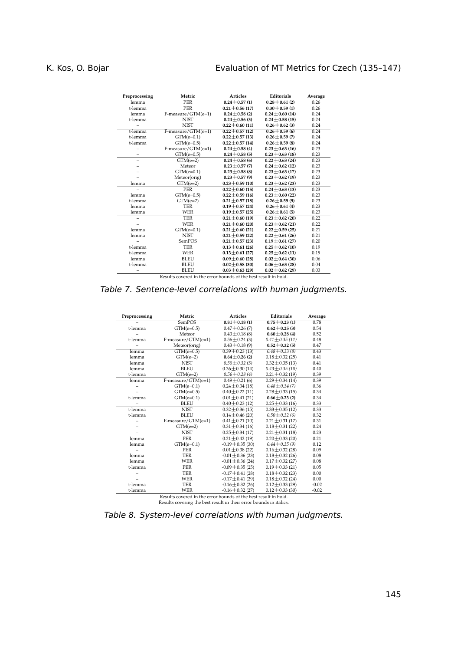| Preprocessing | Metric                                                          | <b>Articles</b>      | <b>Editorials</b>    | Average |  |  |  |
|---------------|-----------------------------------------------------------------|----------------------|----------------------|---------|--|--|--|
| lemma         | <b>PER</b>                                                      | $0.24 + 0.57(1)$     | $0.28 + 0.61(2)$     | 0.26    |  |  |  |
| t-lemma       | <b>PER</b>                                                      | $0.21 + 0.56(17)$    | $0.30 + 0.59(1)$     | 0.26    |  |  |  |
| lemma         | F-measure/GTM(e=1)                                              | $0.24 + 0.58(2)$     | $0.24 + 0.60(14)$    | 0.24    |  |  |  |
| t-lemma       | <b>NIST</b>                                                     | $0.24 + 0.56(3)$     | $0.24 + 0.58(15)$    | 0.24    |  |  |  |
|               | <b>NIST</b>                                                     | $0.22 + 0.60(11)$    | $0.26 \pm 0.62$ (3)  | 0.24    |  |  |  |
| t-lemma       | F-measure/GTM(e=1)                                              | $0.22 + 0.57(12)$    | $0.26 + 0.59(6)$     | 0.24    |  |  |  |
| t-lemma       | $GTM(e=0.1)$                                                    | $0.22 + 0.57(13)$    | $0.26 + 0.59(7)$     | 0.24    |  |  |  |
| t-lemma       | $GTM(e=0.5)$                                                    | $0.22 + 0.57(14)$    | $0.26 + 0.59(8)$     | 0.24    |  |  |  |
|               | F-measure/GTM(e=1)                                              | $0.24 + 0.58(4)$     | $0.23 + 0.63(16)$    | 0.23    |  |  |  |
| -             | $GTM(e=0.5)$                                                    | $0.24 + 0.58(5)$     | $0.23 + 0.63(18)$    | 0.23    |  |  |  |
| -             | $GTM(e=2)$                                                      | $0.24 + 0.58(6)$     | $0.22 + 0.63(24)$    | 0.23    |  |  |  |
|               | Meteor                                                          | $0.23 + 0.57(7)$     | $0.24 + 0.62(12)$    | 0.23    |  |  |  |
|               | $GTM(e=0.1)$                                                    | $0.23 + 0.58(8)$     | $0.23 + 0.63(17)$    | 0.23    |  |  |  |
|               | Meteor(orig)                                                    | $0.23 + 0.57(9)$     | $0.23 + 0.62(19)$    | 0.23    |  |  |  |
| lemma         | $GTM(e=2)$                                                      | $0.23 \pm 0.59$ (10) | $0.23 \pm 0.62$ (23) | 0.23    |  |  |  |
|               | <b>PER</b>                                                      | $0.22 + 0.60(15)$    | $0.24 + 0.63(13)$    | 0.23    |  |  |  |
| lemma         | $GTM(e=0.5)$                                                    | $0.22 + 0.59(16)$    | $0.23 + 0.60(22)$    | 0.23    |  |  |  |
| t-lemma       | $GTM(e=2)$                                                      | $0.21 + 0.57(18)$    | $0.26 + 0.59(9)$     | 0.23    |  |  |  |
| lemma         | <b>TER</b>                                                      | $0.19 + 0.57(24)$    | $0.26 + 0.61(4)$     | 0.23    |  |  |  |
| lemma         | <b>WER</b>                                                      | $0.19 \pm 0.57$ (25) | $0.26 \pm 0.61$ (5)  | 0.23    |  |  |  |
|               | <b>TER</b>                                                      | $0.21 + 0.60(19)$    | $0.23 + 0.62(20)$    | 0.22    |  |  |  |
|               | <b>WER</b>                                                      | $0.21 + 0.60(20)$    | $0.23 + 0.62(21)$    | 0.22    |  |  |  |
| lemma         | $GTM(e=0.1)$                                                    | $0.21 + 0.60(21)$    | $0.22 + 0.59(25)$    | 0.21    |  |  |  |
| lemma         | <b>NIST</b>                                                     | $0.21 \pm 0.59$ (22) | $0.22 \pm 0.61$ (26) | 0.21    |  |  |  |
|               | SemPOS                                                          | $0.21 \pm 0.57$ (23) | $0.19 \pm 0.61$ (27) | 0.20    |  |  |  |
| t-lemma       | <b>TER</b>                                                      | $0.13 + 0.61(26)$    | $0.25 + 0.62(10)$    | 0.19    |  |  |  |
| t-lemma       | <b>WER</b>                                                      | $0.13 + 0.61(27)$    | $0.25 + 0.62(11)$    | 0.19    |  |  |  |
| lemma         | <b>BLEU</b>                                                     | $0.09 + 0.60(28)$    | $0.02 + 0.64(30)$    | 0.06    |  |  |  |
| t-lemma       | <b>BLEU</b>                                                     | $0.02 + 0.58(30)$    | $0.06 + 0.63(28)$    | 0.04    |  |  |  |
|               | <b>BLEU</b>                                                     | $0.03 + 0.63(29)$    | $0.02 + 0.62(29)$    | 0.03    |  |  |  |
|               | Results covered in the error bounds of the best result in bold. |                      |                      |         |  |  |  |

*Table 7. Sentence-level correlations with human judgments.*

| Preprocessing | Metric                                                          | <b>Articles</b>       | Editorials           | Average |  |  |
|---------------|-----------------------------------------------------------------|-----------------------|----------------------|---------|--|--|
|               | <b>SemPOS</b>                                                   | $0.81 + 0.18(1)$      | $0.75 + 0.23(1)$     | 0.78    |  |  |
| t-lemma       | $GTM(e=0.5)$                                                    | $0.47 \pm 0.26$ (7)   | $0.62 + 0.25(3)$     | 0.54    |  |  |
|               | Meteor                                                          | $0.43 \pm 0.18$ (8)   | $0.60 + 0.28(4)$     | 0.52    |  |  |
| t-lemma       | F-measure/GTM(e=1)                                              | $0.56 \pm 0.24$ (3)   | $0.41 + 0.35(11)$    | 0.48    |  |  |
|               | Meteor(orig)                                                    | $0.43 \pm 0.18(9)$    | $0.52 + 0.32(5)$     | 0.47    |  |  |
| lemma         | $GTM(e=0.5)$                                                    | $0.39 + 0.23(13)$     | $0.48 + 0.33(8)$     | 0.43    |  |  |
| lemma         | $GTM(e=2)$                                                      | $0.64 + 0.26(2)$      | $0.18 + 0.32(25)$    | 0.41    |  |  |
| lemma         | <b>NIST</b>                                                     | $0.50 \pm 0.32$ (5)   | $0.32 \pm 0.35$ (13) | 0.41    |  |  |
| lemma         | <b>BLEU</b>                                                     | $0.36 \pm 0.30$ (14)  | $0.43 \pm 0.35$ (10) | 0.40    |  |  |
| t-lemma       | $GTM(e=2)$                                                      | $0.56 \pm 0.28$ (4)   | $0.21 \pm 0.32$ (19) | 0.39    |  |  |
| lemma         | $F-measure/GTM(e=1)$                                            | $0.49 + 0.21(6)$      | $0.29 + 0.34(14)$    | 0.39    |  |  |
|               | $GTM(e=0.1)$                                                    | $0.24 + 0.34(18)$     | $0.48 + 0.34(7)$     | 0.36    |  |  |
|               | $GTM(e=0.5)$                                                    | $0.40 \pm 0.22$ (11)  | $0.28 \pm 0.33$ (15) | 0.34    |  |  |
| t-lemma       | $GTM(e=0.1)$                                                    | $0.01 \pm 0.41$ (21)  | $0.66 + 0.23(2)$     | 0.34    |  |  |
|               | <b>BLEU</b>                                                     | $0.40 \pm 0.23$ (12)  | $0.25 \pm 0.33$ (16) | 0.33    |  |  |
| t-lemma       | <b>NIST</b>                                                     | $0.32 + 0.36(15)$     | $0.33 + 0.35(12)$    | 0.33    |  |  |
| t-lemma       | <b>BLEU</b>                                                     | $0.14 + 0.46(20)$     | $0.50 + 0.32(6)$     | 0.32    |  |  |
|               | F-measure/GTM(e=1)                                              | $0.41 + 0.21(10)$     | $0.21 + 0.31(17)$    | 0.31    |  |  |
|               | $GTM(e=2)$                                                      | $0.31 \pm 0.34$ (16)  | $0.18 \pm 0.31$ (22) | 0.24    |  |  |
|               | <b>NIST</b>                                                     | $0.25 \pm 0.34$ (17)  | $0.21 \pm 0.31$ (18) | 0.23    |  |  |
| lemma         | <b>PER</b>                                                      | $0.21 + 0.42(19)$     | $0.20 + 0.33(20)$    | 0.21    |  |  |
| lemma         | $GTM(e=0.1)$                                                    | $-0.19 \pm 0.35$ (30) | $0.44 + 0.35(9)$     | 0.12    |  |  |
|               | PER                                                             | $0.01 \pm 0.38$ (22)  | $0.16 \pm 0.32$ (28) | 0.09    |  |  |
| lemma         | <b>TER</b>                                                      | $-0.01 \pm 0.36$ (23) | $0.18 \pm 0.32$ (26) | 0.08    |  |  |
| lemma         | <b>WER</b>                                                      | $-0.01 \pm 0.36$ (24) | $0.17 \pm 0.32$ (27) | 0.08    |  |  |
| t-lemma       | <b>PER</b>                                                      | $-0.09 + 0.35(25)$    | $0.19 + 0.33(21)$    | 0.05    |  |  |
|               | <b>TER</b>                                                      | $-0.17 + 0.41(28)$    | $0.18 \pm 0.32$ (23) | 0.00    |  |  |
|               | <b>WER</b>                                                      | $-0.17 \pm 0.41$ (29) | $0.18 \pm 0.32$ (24) | 0.00    |  |  |
| t-lemma       | <b>TER</b>                                                      | $-0.16 \pm 0.32$ (26) | $0.12 \pm 0.33$ (29) | $-0.02$ |  |  |
| t-lemma       | <b>WER</b>                                                      | $-0.16 \pm 0.32$ (27) | $0.12 \pm 0.33$ (30) | $-0.02$ |  |  |
|               | Results covered in the error bounds of the best result in bold. |                       |                      |         |  |  |

Results covered in the error bounds of the best result in bold. Results covering the best result in their error bounds in italics.

*Table 8. System-level correlations with human judgments.*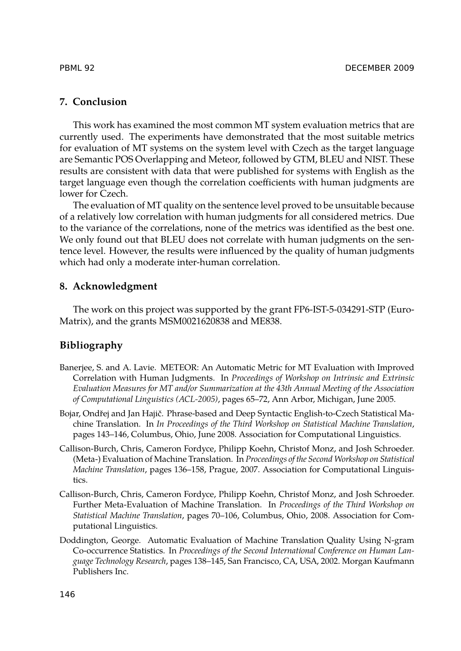## **7. Conclusion**

This work has examined the most common MT system evaluation metrics that are currently used. The experiments have demonstrated that the most suitable metrics for evaluation of MT systems on the system level with Czech as the target language are Semantic POS Overlapping and Meteor, followed by GTM, BLEU and NIST. These results are consistent with data that were published for systems with English as the target language even though the correlation coefficients with human judgments are lower for Czech.

The evaluation of MT quality on the sentence level proved to be unsuitable because of a relatively low correlation with human judgments for all considered metrics. Due to the variance of the correlations, none of the metrics was identified as the best one. We only found out that BLEU does not correlate with human judgments on the sentence level. However, the results were influenced by the quality of human judgments which had only a moderate inter-human correlation.

## **8. Acknowledgment**

The work on this project was supported by the grant FP6-IST-5-034291-STP (Euro-Matrix), and the grants MSM0021620838 and ME838.

## **Bibliography**

- Banerjee, S. and A. Lavie. METEOR: An Automatic Metric for MT Evaluation with Improved Correlation with Human Judgments. In *Proceedings of Workshop on Intrinsic and Extrinsic Evaluation Measures for MT and/or Summarization at the 43th Annual Meeting of the Association of Computational Linguistics (ACL-2005)*, pages 65–72, Ann Arbor, Michigan, June 2005.
- Bojar, Ondřej and Jan Hajič. Phrase-based and Deep Syntactic English-to-Czech Statistical Machine Translation. In *In Proceedings of the Third Workshop on Statistical Machine Translation*, pages 143–146, Columbus, Ohio, June 2008. Association for Computational Linguistics.
- Callison-Burch, Chris, Cameron Fordyce, Philipp Koehn, Christof Monz, and Josh Schroeder. (Meta-) Evaluation of Machine Translation. In *Proceedings of the Second Workshop on Statistical Machine Translation*, pages 136–158, Prague, 2007. Association for Computational Linguistics.
- Callison-Burch, Chris, Cameron Fordyce, Philipp Koehn, Christof Monz, and Josh Schroeder. Further Meta-Evaluation of Machine Translation. In *Proceedings of the Third Workshop on Statistical Machine Translation*, pages 70–106, Columbus, Ohio, 2008. Association for Computational Linguistics.
- Doddington, George. Automatic Evaluation of Machine Translation Quality Using N-gram Co-occurrence Statistics. In *Proceedings of the Second International Conference on Human Language Technology Research*, pages 138–145, San Francisco, CA, USA, 2002. Morgan Kaufmann Publishers Inc.